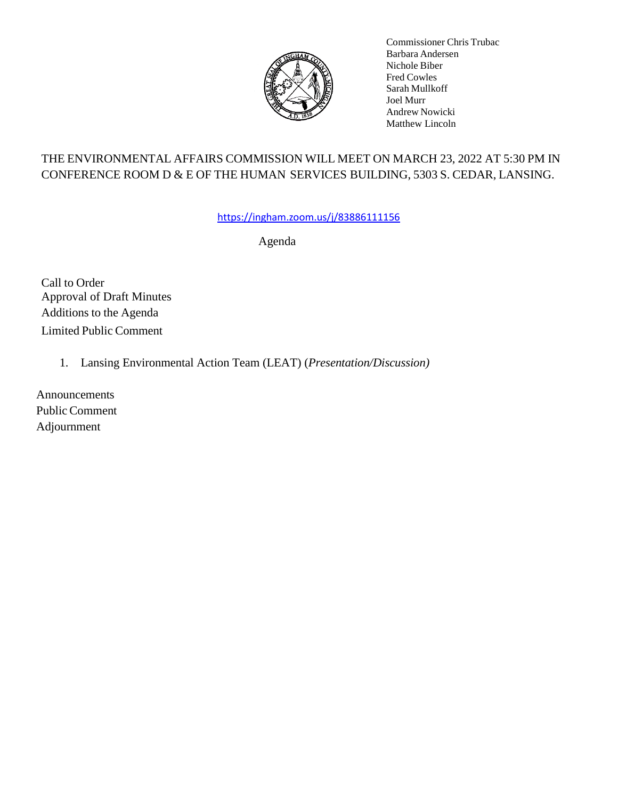

Commissioner Chris Trubac Barbara Andersen Nichole Biber Fred Cowles Sarah Mullkoff Joel Murr Andrew Nowicki Matthew Lincoln

# THE ENVIRONMENTAL AFFAIRS COMMISSION WILL MEET ON MARCH 23, 2022 AT 5:30 PM IN CONFERENCE ROOM D & E OF THE HUMAN SERVICES BUILDING, 5303 S. CEDAR, LANSING.

[https://ingham.zoom.us/j/83886111156](https://gcc02.safelinks.protection.outlook.com/?url=https%3A%2F%2Fingham.zoom.us%2Fj%2F83886111156&data=04%7C01%7CRPrettenhofer%40ingham.org%7C00a19cc4cb3a44d5188808da08f4785a%7C6e7df0000e4a49ce9057ccef394db0d8%7C0%7C0%7C637832143333185526%7CUnknown%7CTWFpbGZsb3d8eyJWIjoiMC4wLjAwMDAiLCJQIjoiV2luMzIiLCJBTiI6Ik1haWwiLCJXVCI6Mn0%3D%7C3000&sdata=uft7Y4CcI%2BQ6REO%2Bn%2F7VojdWmSmethzhWBjJYRtgF6s%3D&reserved=0)

Agenda

Call to Order Approval of Draft Minutes Additions to the Agenda Limited Public Comment

1. Lansing Environmental Action Team (LEAT) (*Presentation/Discussion)*

Announcements Public Comment Adjournment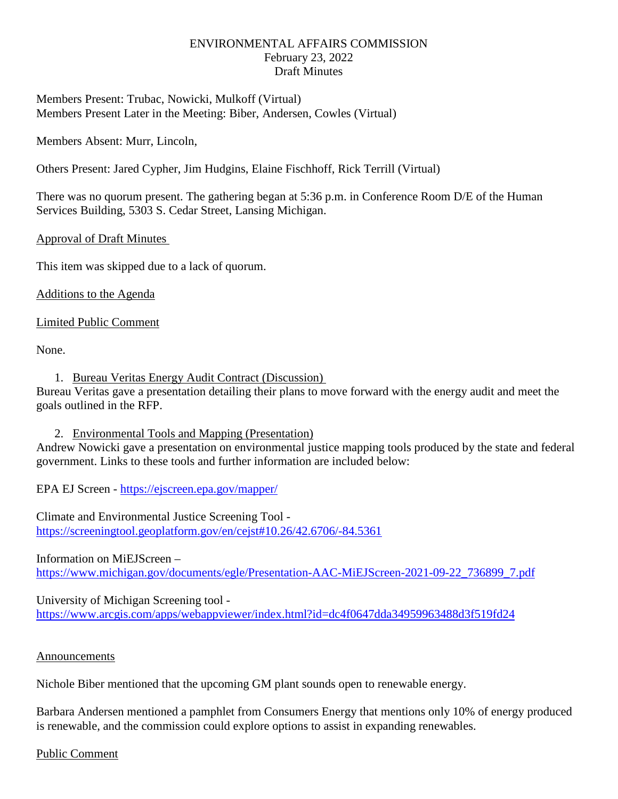## ENVIRONMENTAL AFFAIRS COMMISSION February 23, 2022 Draft Minutes

Members Present: Trubac, Nowicki, Mulkoff (Virtual) Members Present Later in the Meeting: Biber, Andersen, Cowles (Virtual)

Members Absent: Murr, Lincoln,

Others Present: Jared Cypher, Jim Hudgins, Elaine Fischhoff, Rick Terrill (Virtual)

There was no quorum present. The gathering began at 5:36 p.m. in Conference Room D/E of the Human Services Building, 5303 S. Cedar Street, Lansing Michigan.

# Approval of Draft Minutes

This item was skipped due to a lack of quorum.

Additions to the Agenda

Limited Public Comment

None.

1. Bureau Veritas Energy Audit Contract (Discussion)

Bureau Veritas gave a presentation detailing their plans to move forward with the energy audit and meet the goals outlined in the RFP.

2. Environmental Tools and Mapping (Presentation)

Andrew Nowicki gave a presentation on environmental justice mapping tools produced by the state and federal government. Links to these tools and further information are included below:

EPA EJ Screen - <https://ejscreen.epa.gov/mapper/>

Climate and Environmental Justice Screening Tool <https://screeningtool.geoplatform.gov/en/cejst#10.26/42.6706/-84.5361>

Information on MiEJScreen – [https://www.michigan.gov/documents/egle/Presentation-AAC-MiEJScreen-2021-09-22\\_736899\\_7.pdf](https://www.michigan.gov/documents/egle/Presentation-AAC-MiEJScreen-2021-09-22_736899_7.pdf)

University of Michigan Screening tool <https://www.arcgis.com/apps/webappviewer/index.html?id=dc4f0647dda34959963488d3f519fd24>

### Announcements

Nichole Biber mentioned that the upcoming GM plant sounds open to renewable energy.

Barbara Andersen mentioned a pamphlet from Consumers Energy that mentions only 10% of energy produced is renewable, and the commission could explore options to assist in expanding renewables.

### Public Comment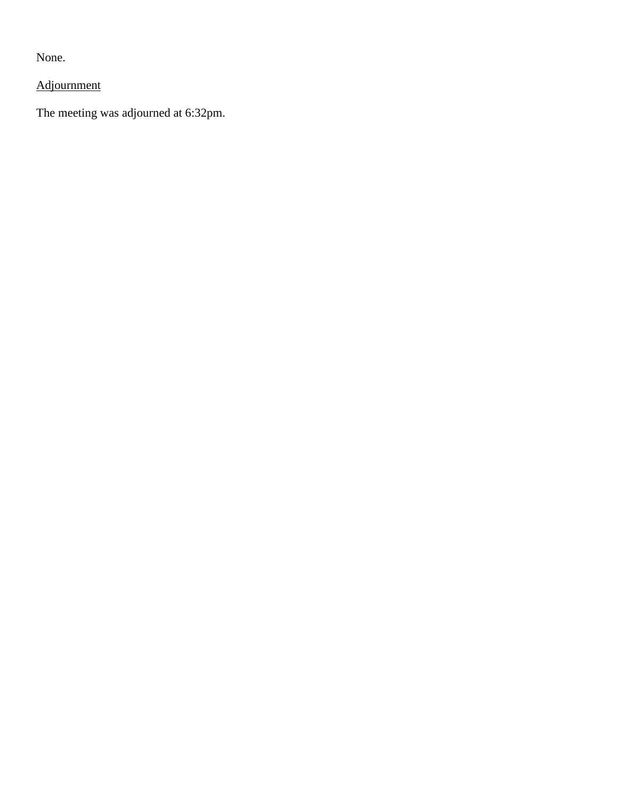None.

Adjournment

The meeting was adjourned at 6:32pm.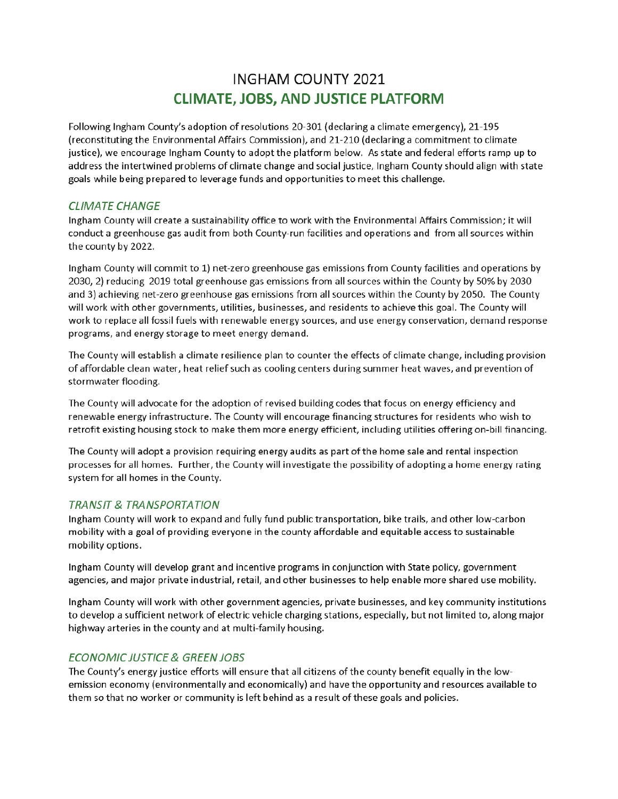# **INGHAM COUNTY 2021 CLIMATE, JOBS, AND JUSTICE PLATFORM**

Following Ingham County's adoption of resolutions 20-301 (declaring a climate emergency), 21-195 (reconstituting the Environmental Affairs Commission), and 21-210 (declaring a commitment to climate justice), we encourage Ingham County to adopt the platform below. As state and federal efforts ramp up to address the intertwined problems of climate change and social justice, Ingham County should align with state goals while being prepared to leverage funds and opportunities to meet this challenge.

### **CLIMATE CHANGE**

Ingham County will create a sustainability office to work with the Environmental Affairs Commission; it will conduct a greenhouse gas audit from both County-run facilities and operations and from all sources within the county by 2022.

Ingham County will commit to 1) net-zero greenhouse gas emissions from County facilities and operations by 2030, 2) reducing 2019 total greenhouse gas emissions from all sources within the County by 50% by 2030 and 3) achieving net-zero greenhouse gas emissions from all sources within the County by 2050. The County will work with other governments, utilities, businesses, and residents to achieve this goal. The County will work to replace all fossil fuels with renewable energy sources, and use energy conservation, demand response programs, and energy storage to meet energy demand.

The County will establish a climate resilience plan to counter the effects of climate change, including provision of affordable clean water, heat relief such as cooling centers during summer heat waves, and prevention of stormwater flooding.

The County will advocate for the adoption of revised building codes that focus on energy efficiency and renewable energy infrastructure. The County will encourage financing structures for residents who wish to retrofit existing housing stock to make them more energy efficient, including utilities offering on-bill financing.

The County will adopt a provision requiring energy audits as part of the home sale and rental inspection processes for all homes. Further, the County will investigate the possibility of adopting a home energy rating system for all homes in the County.

#### **TRANSIT & TRANSPORTATION**

Ingham County will work to expand and fully fund public transportation, bike trails, and other low-carbon mobility with a goal of providing everyone in the county affordable and equitable access to sustainable mobility options.

Ingham County will develop grant and incentive programs in conjunction with State policy, government agencies, and major private industrial, retail, and other businesses to help enable more shared use mobility.

Ingham County will work with other government agencies, private businesses, and key community institutions to develop a sufficient network of electric vehicle charging stations, especially, but not limited to, along major highway arteries in the county and at multi-family housing.

### **ECONOMIC JUSTICE & GREEN JOBS**

The County's energy justice efforts will ensure that all citizens of the county benefit equally in the lowemission economy (environmentally and economically) and have the opportunity and resources available to them so that no worker or community is left behind as a result of these goals and policies.